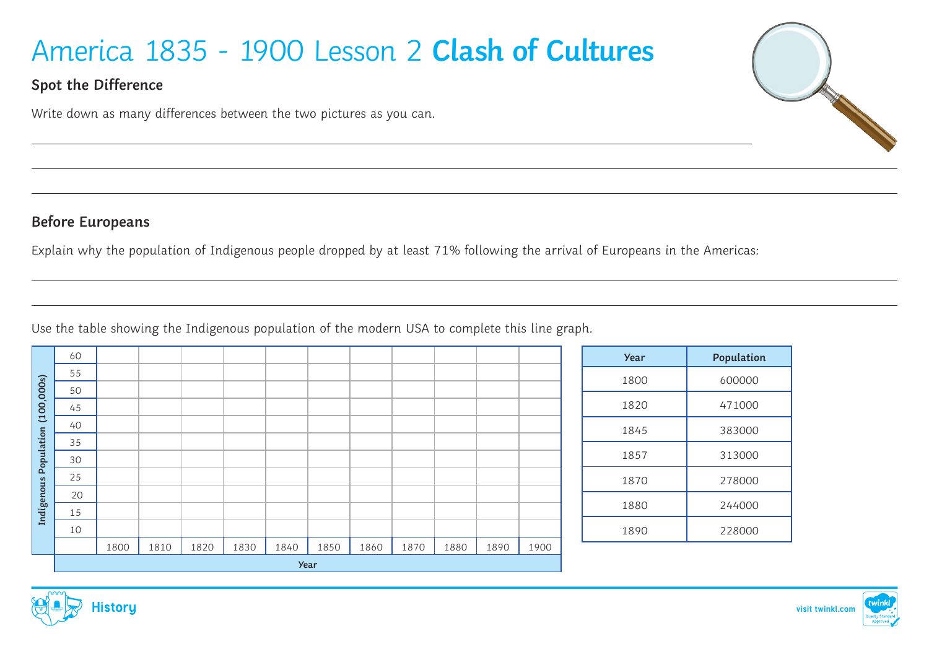# America 1835 - 1900 Lesson 2 **Clash of Cultures**

## **Spot the Difference**

Write down as many differences between the two pictures as you can.

## **Before Europeans**

Explain why the population of Indigenous people dropped by at least 71% following the arrival of Europeans in the Americas:

Use the table showing the Indigenous population of the modern USA to complete this line graph.

| (100,000s)<br>Population | 60          |      |      |      |      |      |      |      |      |      |      |      |
|--------------------------|-------------|------|------|------|------|------|------|------|------|------|------|------|
|                          | 55          |      |      |      |      |      |      |      |      |      |      |      |
|                          | 50          |      |      |      |      |      |      |      |      |      |      |      |
|                          | 45          |      |      |      |      |      |      |      |      |      |      |      |
|                          | 40          |      |      |      |      |      |      |      |      |      |      |      |
|                          | 35          |      |      |      |      |      |      |      |      |      |      |      |
|                          | 30          |      |      |      |      |      |      |      |      |      |      |      |
|                          | 25          |      |      |      |      |      |      |      |      |      |      |      |
| Indigenous               | 20          |      |      |      |      |      |      |      |      |      |      |      |
|                          | 15          |      |      |      |      |      |      |      |      |      |      |      |
|                          | 10          |      |      |      |      |      |      |      |      |      |      |      |
|                          |             | 1800 | 1810 | 1820 | 1830 | 1840 | 1850 | 1860 | 1870 | 1880 | 1890 | 1900 |
|                          | <b>Year</b> |      |      |      |      |      |      |      |      |      |      |      |

| <b>Year</b> | Population |
|-------------|------------|
| 1800        | 600000     |
| 1820        | 471000     |
| 1845        | 383000     |
| 1857        | 313000     |
| 1870        | 278000     |
| 1880        | 244000     |
| 1890        | 228000     |



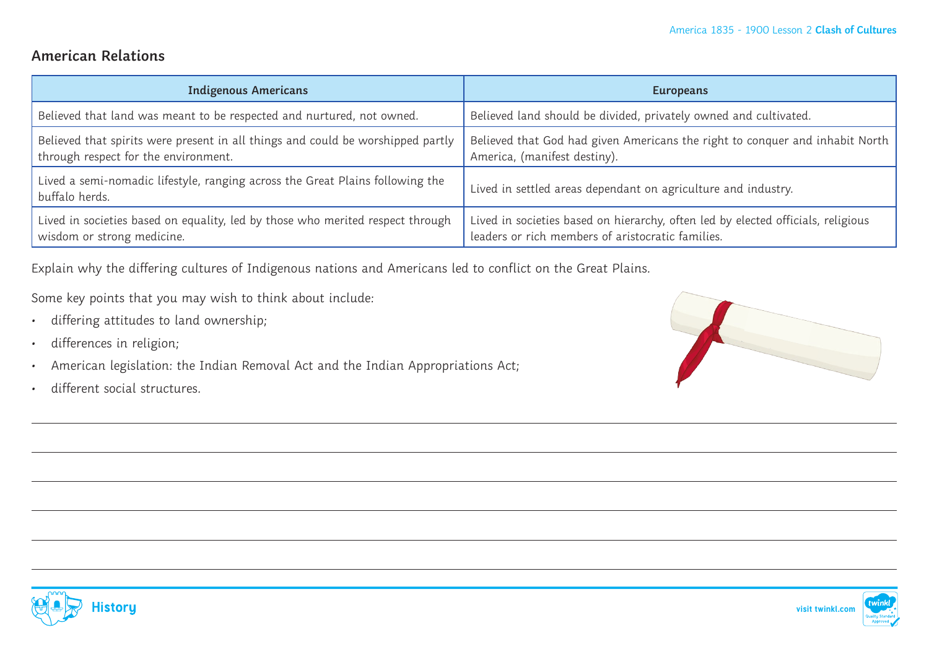#### **American Relations**

| <b>Indigenous Americans</b>                                                                                             | <b>Europeans</b>                                                                                                                      |
|-------------------------------------------------------------------------------------------------------------------------|---------------------------------------------------------------------------------------------------------------------------------------|
| Believed that land was meant to be respected and nurtured, not owned.                                                   | Believed land should be divided, privately owned and cultivated.                                                                      |
| Believed that spirits were present in all things and could be worshipped partly<br>through respect for the environment. | Believed that God had given Americans the right to conquer and inhabit North<br>America, (manifest destiny).                          |
| Lived a semi-nomadic lifestyle, ranging across the Great Plains following the<br>buffalo herds.                         | Lived in settled areas dependant on agriculture and industry.                                                                         |
| Lived in societies based on equality, led by those who merited respect through<br>wisdom or strong medicine.            | Lived in societies based on hierarchy, often led by elected officials, religious<br>leaders or rich members of aristocratic families. |

Explain why the differing cultures of Indigenous nations and Americans led to conflict on the Great Plains.

Some key points that you may wish to think about include:

- differing attitudes to land ownership;
- differences in religion;
- American legislation: the Indian Removal Act and the Indian Appropriations Act;
- different social structures.